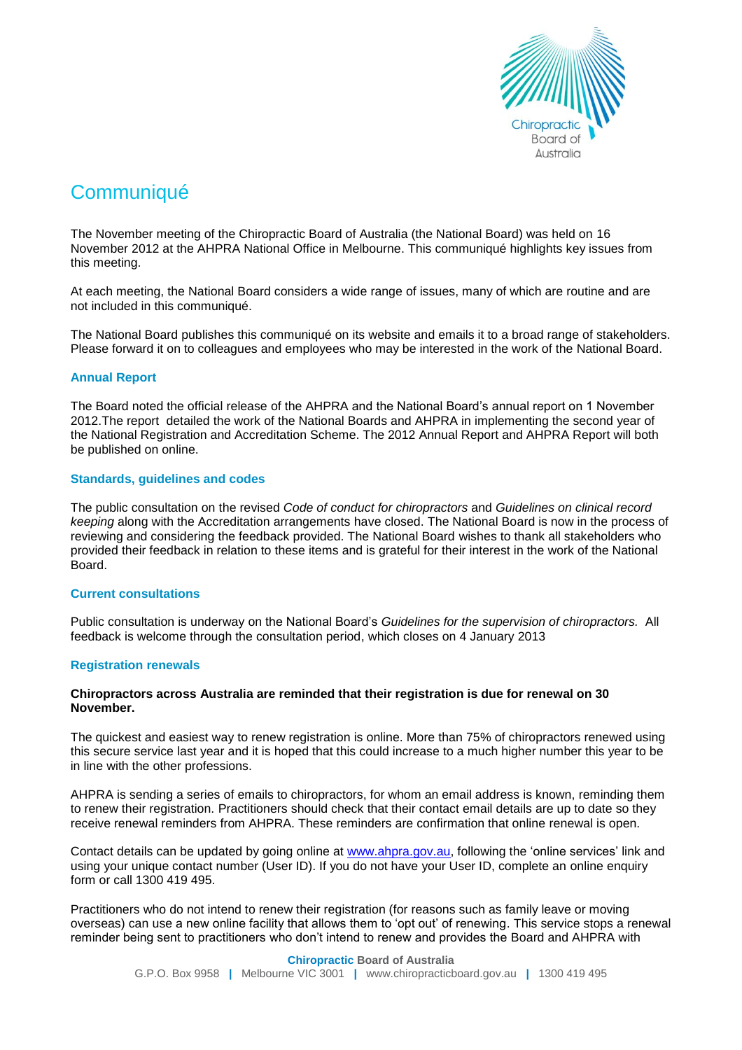

# **Communiqué**

The November meeting of the Chiropractic Board of Australia (the National Board) was held on 16 November 2012 at the AHPRA National Office in Melbourne. This communiqué highlights key issues from this meeting.

At each meeting, the National Board considers a wide range of issues, many of which are routine and are not included in this communiqué.

The National Board publishes this communiqué on its website and emails it to a broad range of stakeholders. Please forward it on to colleagues and employees who may be interested in the work of the National Board.

# **Annual Report**

The Board noted the official release of the AHPRA and the National Board's annual report on 1 November 2012.The report detailed the work of the National Boards and AHPRA in implementing the second year of the National Registration and Accreditation Scheme. The 2012 Annual Report and AHPRA Report will both be published on online.

# **Standards, guidelines and codes**

The public consultation on the revised *Code of conduct for chiropractors* and *Guidelines on clinical record keeping* along with the Accreditation arrangements have closed. The National Board is now in the process of reviewing and considering the feedback provided. The National Board wishes to thank all stakeholders who provided their feedback in relation to these items and is grateful for their interest in the work of the National Board.

## **Current consultations**

Public consultation is underway on the National Board's *Guidelines for the supervision of chiropractors.* All feedback is welcome through the consultation period, which closes on 4 January 2013

## **Registration renewals**

## **Chiropractors across Australia are reminded that their registration is due for renewal on 30 November.**

The quickest and easiest way to renew registration is online. More than 75% of chiropractors renewed using this secure service last year and it is hoped that this could increase to a much higher number this year to be in line with the other professions.

AHPRA is sending a series of emails to chiropractors, for whom an email address is known, reminding them to renew their registration. Practitioners should check that their contact email details are up to date so they receive renewal reminders from AHPRA. These reminders are confirmation that online renewal is open.

Contact details can be updated by going online at [www.ahpra.gov.au,](http://www.ahpra.gov.au/) following the 'online services' link and using your unique contact number (User ID). If you do not have your User ID, complete an online enquiry form or call 1300 419 495.

Practitioners who do not intend to renew their registration (for reasons such as family leave or moving overseas) can use a new online facility that allows them to 'opt out' of renewing. This service stops a renewal reminder being sent to practitioners who don't intend to renew and provides the Board and AHPRA with